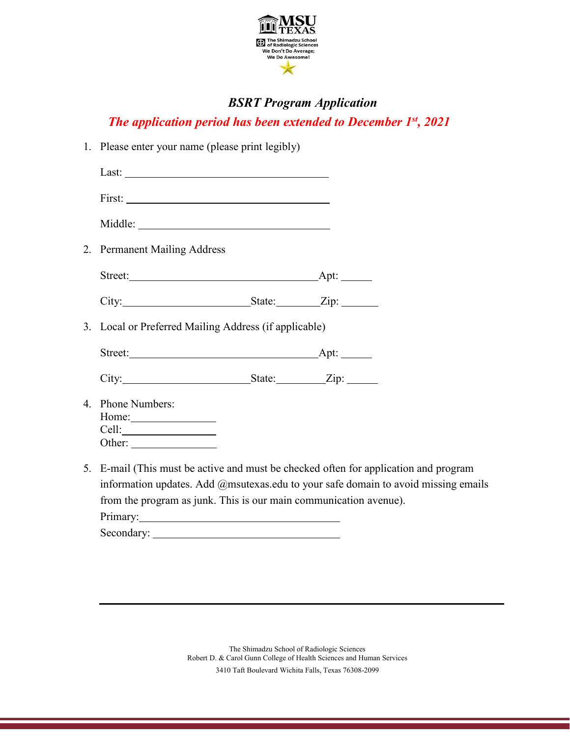

## *BSRT Program Application*

*The application period has been extended to December 1st, 2021*

|                                                       | 1. Please enter your name (please print legibly)                    |  |  |
|-------------------------------------------------------|---------------------------------------------------------------------|--|--|
|                                                       |                                                                     |  |  |
|                                                       |                                                                     |  |  |
|                                                       |                                                                     |  |  |
|                                                       | 2. Permanent Mailing Address                                        |  |  |
|                                                       |                                                                     |  |  |
|                                                       |                                                                     |  |  |
| 3. Local or Preferred Mailing Address (if applicable) |                                                                     |  |  |
|                                                       |                                                                     |  |  |
|                                                       |                                                                     |  |  |
|                                                       | 4. Phone Numbers:                                                   |  |  |
|                                                       | 5. E-mail (This must be active and must be checked often for appli- |  |  |

ication and program information updates. Add @msutexas.edu to your safe domain to avoid missing emails from the program as junk. This is our main communication avenue). Primary:

Secondary: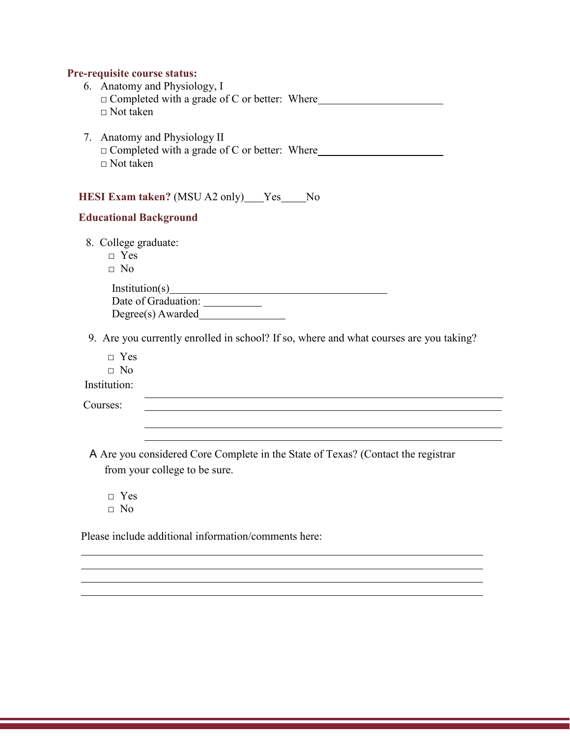## **Pre-requisite course status:**

| 6. Anatomy and Physiology, I<br>$\Box$ Completed with a grade of C or better: Where<br>$\Box$ Not taken |                                                                                        |
|---------------------------------------------------------------------------------------------------------|----------------------------------------------------------------------------------------|
| 7. Anatomy and Physiology II<br>$\Box$ Completed with a grade of C or better: Where<br>$\Box$ Not taken |                                                                                        |
| HESI Exam taken? (MSU A2 only) Yes No<br><b>Educational Background</b>                                  |                                                                                        |
| 8. College graduate:<br>$\Box$ Yes<br>$\Box$ No                                                         |                                                                                        |
| Institution(s)<br>Date of Graduation: ___________<br>$Degree(s)$ Awarded $\qquad \qquad$                |                                                                                        |
|                                                                                                         | 9. Are you currently enrolled in school? If so, where and what courses are you taking? |

- □ Yes
- □ No

Institution:

Courses:

A Are you considered Core Complete in the State of Texas? (Contact the registrar from your college to be sure.

- □ Yes  $\neg$  No
- 

Please include additional information/comments here: